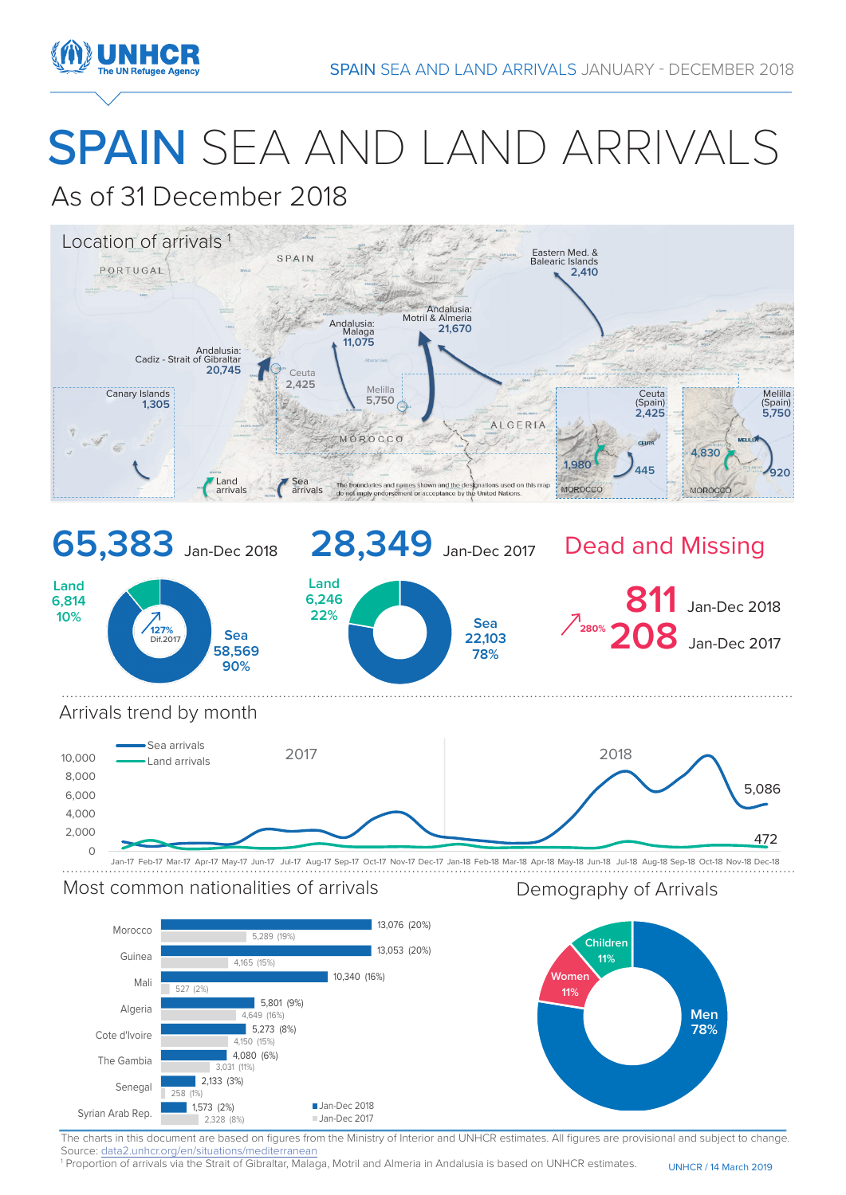

# SPAIN SEA AND LAND ARRIVALS

## As of 31 December 2018



## Most common nationalities of arrivals **Example 20 Seaps** Demography of Arrivals

**Men 78% Women 11% Children 11%** 13,076 (20%) 13,053 (20%) 10,340 (16%) 5,801 (9%) 5.273 (8%) 4,080 (6%) 2,133 (3%) 1,573 (2%) 5,289 (19%) 4,165 (15%)  $12%$ 4,649 (16%) 4,150 (15%) 3,031 (11%) 258 (1%) 2,328 (8%) Morocco Guinea Mali Algeria Cote d'Ivoire The Gambia Senegal Syrian Arab Rep. **1,573** (2%) **Jan-Dec 2018** Jan-Dec 2017

Source: data2.unhcr.org/en/situations/mediterranean The charts in this document are based on figures from the Ministry of Interior and UNHCR estimates. All figures are provisional and subject to change.

UNHCR / 14 March 2019 1 Proportion of arrivals via the Strait of Gibraltar, Malaga, Motril and Almeria in Andalusia is based on UNHCR estimates.